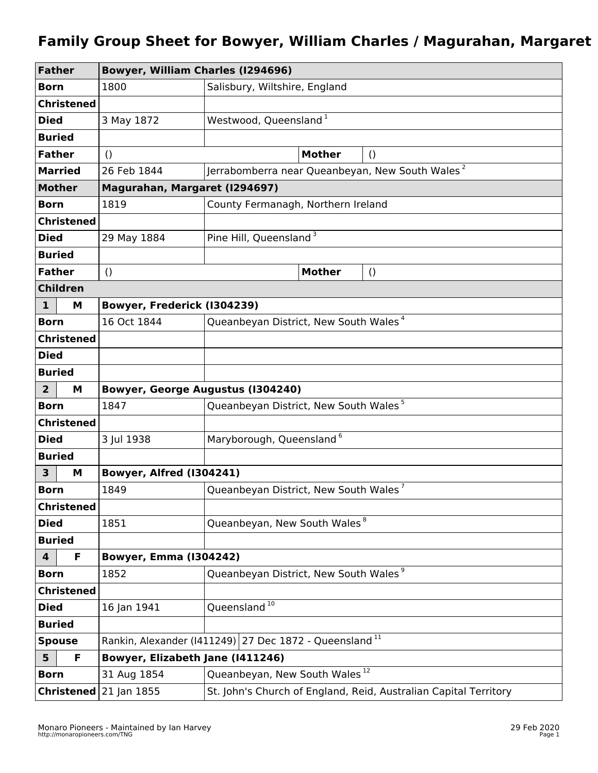## **Family Group Sheet for Bowyer, William Charles / Magurahan, Margaret**

| <b>Father</b>           |                   | <b>Bowyer, William Charles (1294696)</b>                           |                                                                  |  |  |
|-------------------------|-------------------|--------------------------------------------------------------------|------------------------------------------------------------------|--|--|
| <b>Born</b>             |                   | 1800                                                               | Salisbury, Wiltshire, England                                    |  |  |
| <b>Christened</b>       |                   |                                                                    |                                                                  |  |  |
| <b>Died</b>             |                   | 3 May 1872                                                         | Westwood, Queensland <sup>1</sup>                                |  |  |
| <b>Buried</b>           |                   |                                                                    |                                                                  |  |  |
| <b>Father</b>           |                   | $\left( \right)$                                                   | <b>Mother</b><br>$\left( \right)$                                |  |  |
| <b>Married</b>          |                   | 26 Feb 1844                                                        | Jerrabomberra near Queanbeyan, New South Wales <sup>2</sup>      |  |  |
| <b>Mother</b>           |                   | Magurahan, Margaret (1294697)                                      |                                                                  |  |  |
| <b>Born</b>             |                   | 1819                                                               | County Fermanagh, Northern Ireland                               |  |  |
| <b>Christened</b>       |                   |                                                                    |                                                                  |  |  |
| <b>Died</b>             |                   | 29 May 1884                                                        | Pine Hill, Queensland <sup>3</sup>                               |  |  |
| <b>Buried</b>           |                   |                                                                    |                                                                  |  |  |
| <b>Father</b>           |                   | $\left( \right)$                                                   | <b>Mother</b><br>$\left( \right)$                                |  |  |
| <b>Children</b>         |                   |                                                                    |                                                                  |  |  |
| $\mathbf{1}$            | M                 | Bowyer, Frederick (I304239)                                        |                                                                  |  |  |
| <b>Born</b>             |                   | 16 Oct 1844                                                        | Queanbeyan District, New South Wales <sup>4</sup>                |  |  |
| <b>Christened</b>       |                   |                                                                    |                                                                  |  |  |
| <b>Died</b>             |                   |                                                                    |                                                                  |  |  |
| <b>Buried</b>           |                   |                                                                    |                                                                  |  |  |
| $\overline{2}$          | М                 |                                                                    | <b>Bowyer, George Augustus (1304240)</b>                         |  |  |
| <b>Born</b>             |                   | 1847                                                               | Queanbeyan District, New South Wales <sup>5</sup>                |  |  |
| <b>Christened</b>       |                   |                                                                    |                                                                  |  |  |
| <b>Died</b>             |                   | 3 Jul 1938                                                         | Maryborough, Queensland <sup>6</sup>                             |  |  |
| <b>Buried</b>           |                   |                                                                    |                                                                  |  |  |
| 3                       | М                 | Bowyer, Alfred (I304241)                                           |                                                                  |  |  |
| <b>Born</b>             |                   | 1849                                                               | Queanbeyan District, New South Wales <sup>7</sup>                |  |  |
| <b>Christened</b>       |                   |                                                                    |                                                                  |  |  |
| <b>Died</b>             |                   | 1851                                                               | Queanbeyan, New South Wales <sup>8</sup>                         |  |  |
| <b>Buried</b>           |                   |                                                                    |                                                                  |  |  |
| $\overline{\mathbf{4}}$ | F                 | <b>Bowyer, Emma (1304242)</b>                                      |                                                                  |  |  |
| <b>Born</b>             |                   | 1852                                                               | Queanbeyan District, New South Wales <sup>9</sup>                |  |  |
| <b>Christened</b>       |                   |                                                                    |                                                                  |  |  |
| <b>Died</b>             |                   | 16 Jan 1941                                                        | Queensland <sup>10</sup>                                         |  |  |
| <b>Buried</b>           |                   |                                                                    |                                                                  |  |  |
| <b>Spouse</b>           |                   | Rankin, Alexander (1411249) 27 Dec 1872 - Queensland <sup>11</sup> |                                                                  |  |  |
| 5 <sup>5</sup>          | F                 | Bowyer, Elizabeth Jane (1411246)                                   |                                                                  |  |  |
| <b>Born</b>             |                   | 31 Aug 1854                                                        | Queanbeyan, New South Wales <sup>12</sup>                        |  |  |
|                         | <b>Christened</b> | 21 Jan 1855                                                        | St. John's Church of England, Reid, Australian Capital Territory |  |  |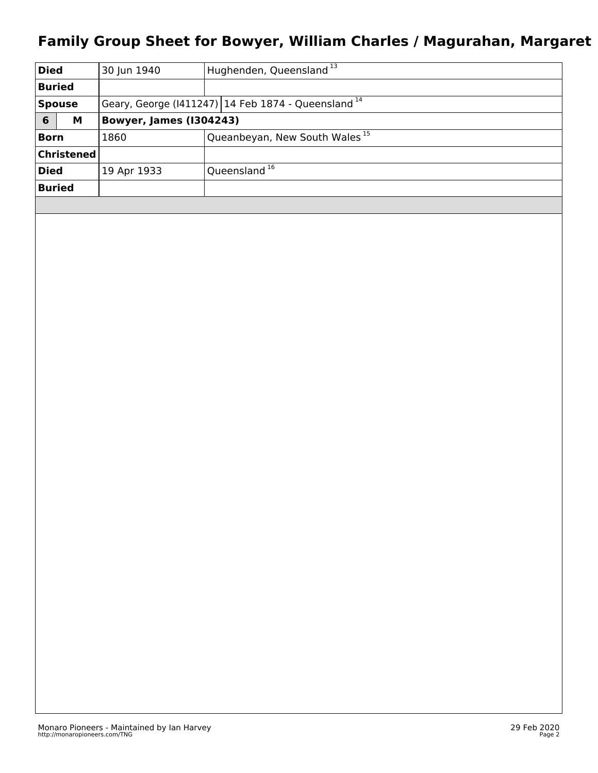## **Family Group Sheet for Bowyer, William Charles / Magurahan, Margaret**

| <b>Died</b>   |             | 30 Jun 1940                                           | Hughenden, Queensland 13                  |  |
|---------------|-------------|-------------------------------------------------------|-------------------------------------------|--|
| <b>Buried</b> |             |                                                       |                                           |  |
| <b>Spouse</b> |             | Geary, George (1411247) 14 Feb 1874 - Queensland $14$ |                                           |  |
| 6             | М           | <b>Bowyer, James (1304243)</b>                        |                                           |  |
| <b>Born</b>   |             | 1860                                                  | Queanbeyan, New South Wales <sup>15</sup> |  |
|               | ∣Christened |                                                       |                                           |  |
| <b>Died</b>   |             | 19 Apr 1933                                           | Queensland <sup>16</sup>                  |  |
| <b>Buried</b> |             |                                                       |                                           |  |
|               |             |                                                       |                                           |  |